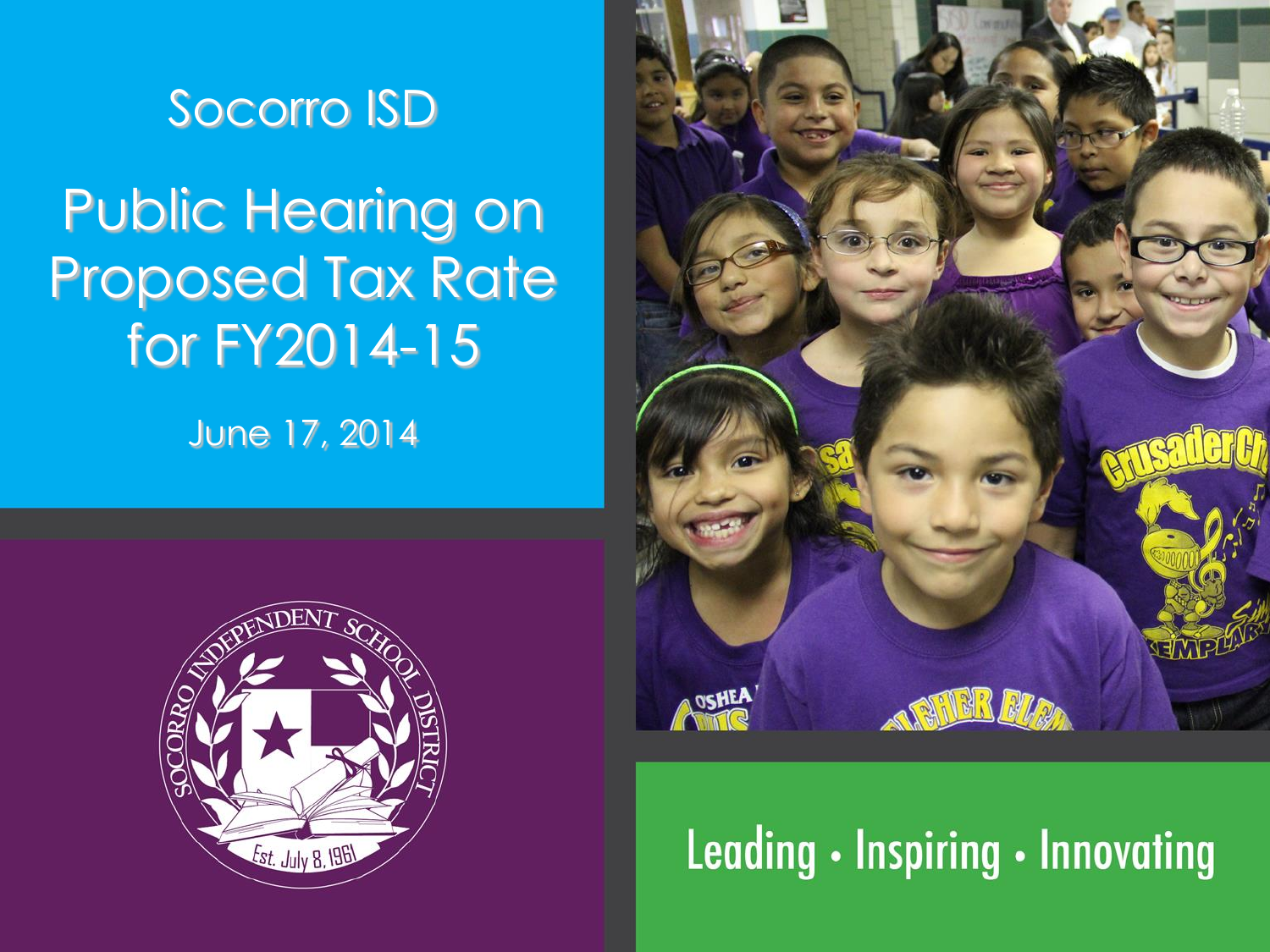

# Public Hearing on Proposed Tax Rate for FY2014-15

June 17, 2014



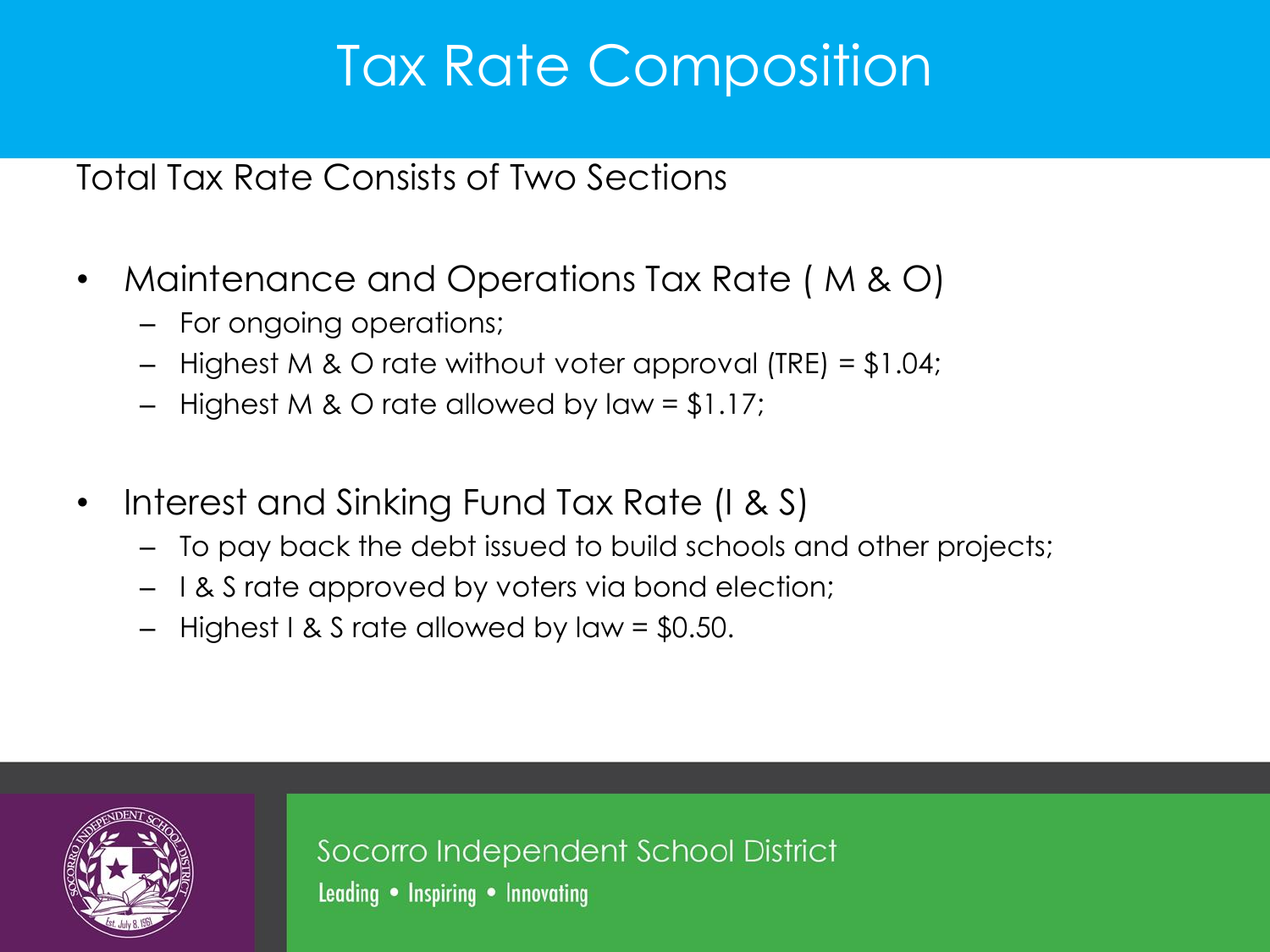## Tax Rate Composition

Total Tax Rate Consists of Two Sections

- Maintenance and Operations Tax Rate ( M & O)
	- For ongoing operations;
	- Highest M & O rate without voter approval (TRE) = \$1.04;
	- Highest M & O rate allowed by law =  $$1.17;$
- Interest and Sinking Fund Tax Rate (I & S)
	- To pay back the debt issued to build schools and other projects;
	- I & S rate approved by voters via bond election;
	- $-$  Highest I & S rate allowed by law = \$0.50.



Socorro Independent School District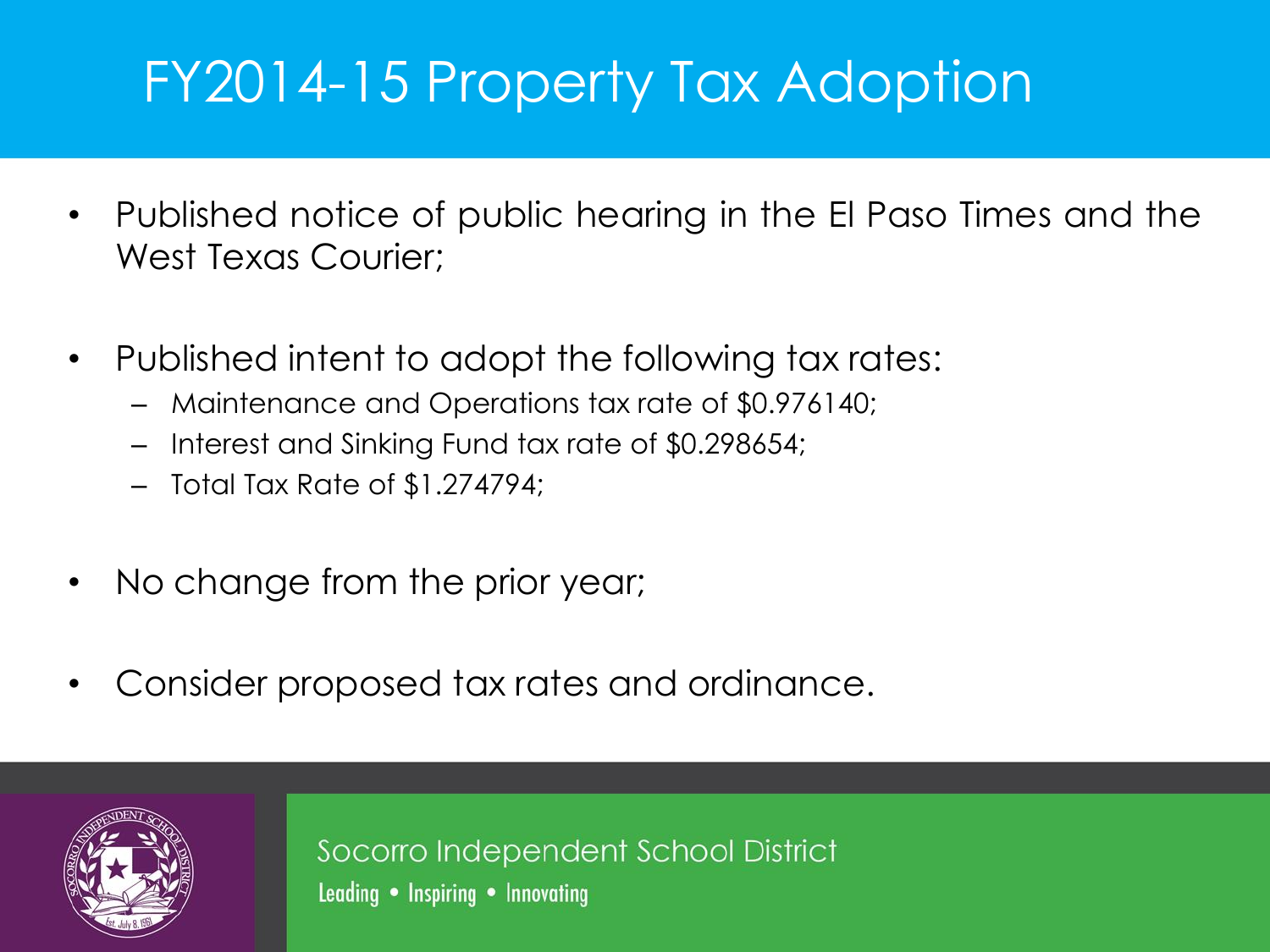## FY2014-15 Property Tax Adoption

- Published notice of public hearing in the El Paso Times and the West Texas Courier;
- Published intent to adopt the following tax rates:
	- Maintenance and Operations tax rate of \$0.976140;
	- Interest and Sinking Fund tax rate of \$0.298654;
	- Total Tax Rate of \$1.274794;
- No change from the prior year;
- Consider proposed tax rates and ordinance.



Socorro Independent School District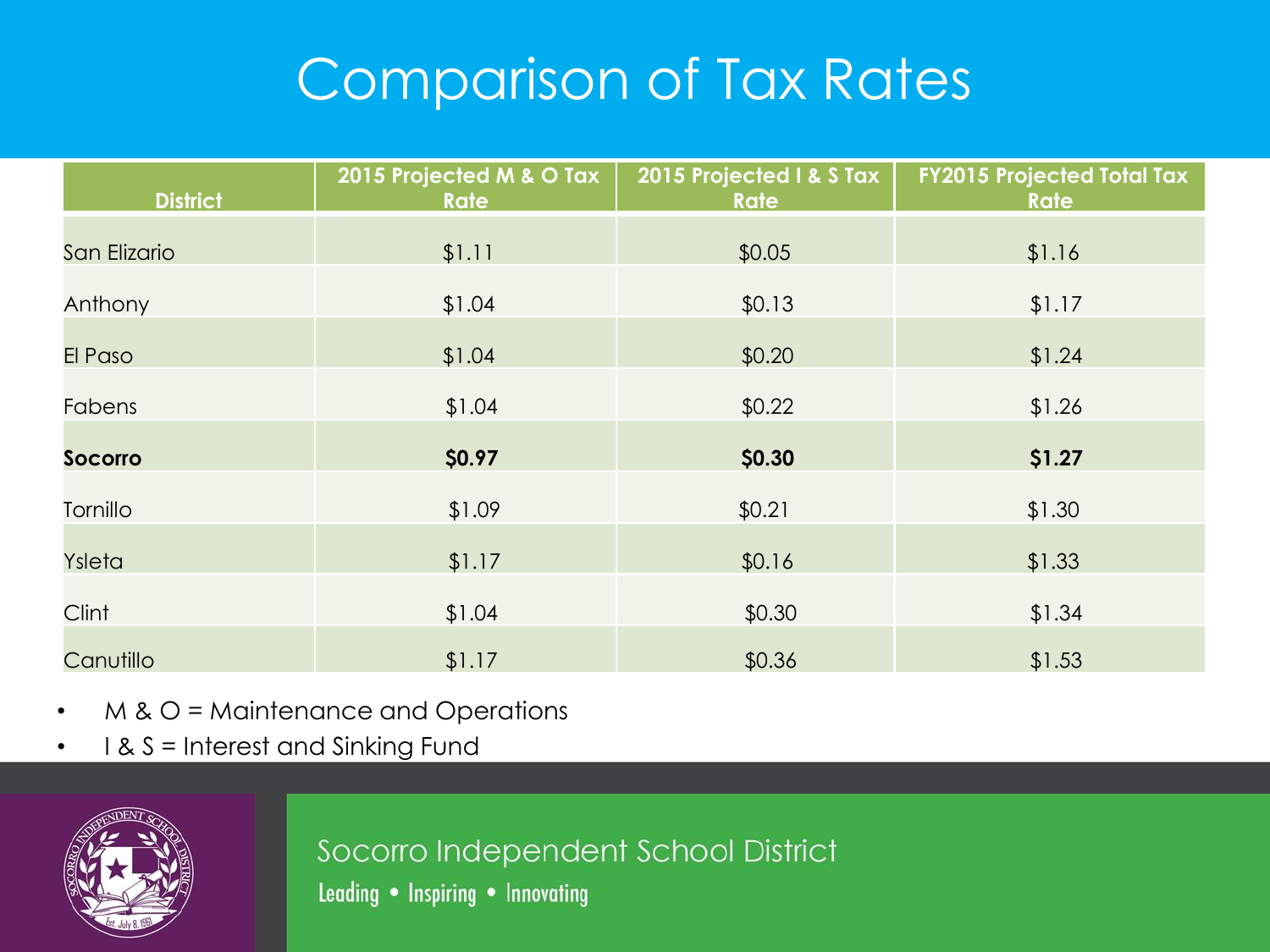## Comparison of Tax Rates

| <b>District</b> | 2015 Projected M & O Tax<br><b>Rate</b> | 2015 Projected I & S Tax<br><b>Rate</b> | <b>FY2015 Projected Total Tax</b><br>Rate |
|-----------------|-----------------------------------------|-----------------------------------------|-------------------------------------------|
| San Elizario    | \$1.11                                  | \$0.05                                  | \$1.16                                    |
| Anthony         | \$1.04                                  | \$0.13                                  | \$1.17                                    |
| El Paso         | \$1.04                                  | \$0.20                                  | \$1.24                                    |
| Fabens          | \$1.04                                  | \$0.22                                  | \$1.26                                    |
| <b>Socorro</b>  | \$0.97                                  | \$0.30                                  | \$1.27                                    |
| Tornillo        | \$1.09                                  | \$0.21                                  | \$1.30                                    |
| Ysleta          | \$1.17                                  | \$0.16                                  | \$1.33                                    |
| Clint           | \$1.04                                  | \$0.30                                  | \$1.34                                    |
| Canutillo       | \$1.17                                  | \$0.36                                  | \$1.53                                    |

- M & O = Maintenance and Operations
- I & S = Interest and Sinking Fund



Socorro Independent School District